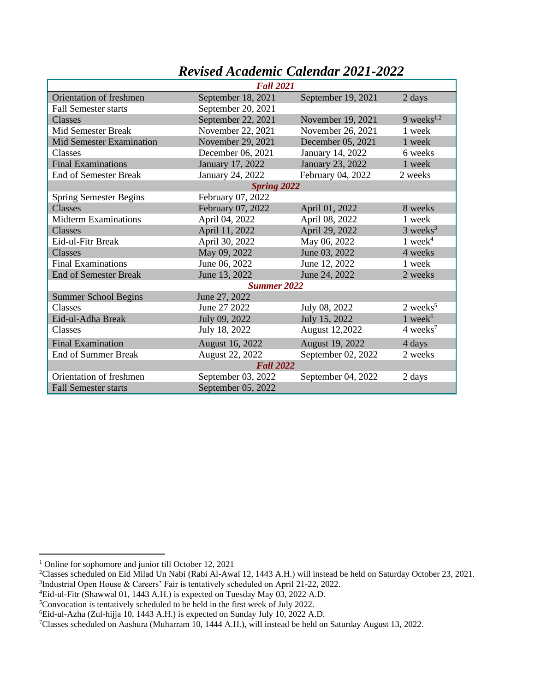|                                 | <b>Fall 2021</b>   |                    |                        |  |
|---------------------------------|--------------------|--------------------|------------------------|--|
| Orientation of freshmen         | September 18, 2021 | September 19, 2021 | 2 days                 |  |
| Fall Semester starts            | September 20, 2021 |                    |                        |  |
| Classes                         | September 22, 2021 | November 19, 2021  | 9 weeks $1,2$          |  |
| Mid Semester Break              | November 22, 2021  | November 26, 2021  | 1 week                 |  |
| <b>Mid Semester Examination</b> | November 29, 2021  | December 05, 2021  | 1 week                 |  |
| Classes                         | December 06, 2021  | January 14, 2022   | 6 weeks                |  |
| <b>Final Examinations</b>       | January 17, 2022   | January 23, 2022   | 1 week                 |  |
| <b>End of Semester Break</b>    | January 24, 2022   | February 04, 2022  | 2 weeks                |  |
|                                 | <b>Spring 2022</b> |                    |                        |  |
| <b>Spring Semester Begins</b>   | February 07, 2022  |                    |                        |  |
| Classes                         | February 07, 2022  | April 01, 2022     | 8 weeks                |  |
| <b>Midterm Examinations</b>     | April 04, 2022     | April 08, 2022     | 1 week                 |  |
| Classes                         | April 11, 2022     | April 29, 2022     | $3$ weeks <sup>3</sup> |  |
| Eid-ul-Fitr Break               | April 30, 2022     | May 06, 2022       | 1 week $4$             |  |
| Classes                         | May 09, 2022       | June 03, 2022      | 4 weeks                |  |
| <b>Final Examinations</b>       | June 06, 2022      | June 12, 2022      | 1 week                 |  |
| <b>End of Semester Break</b>    | June 13, 2022      | June 24, 2022      | 2 weeks                |  |
|                                 | <b>Summer 2022</b> |                    |                        |  |
| <b>Summer School Begins</b>     | June 27, 2022      |                    |                        |  |
| Classes                         | June 27 2022       | July 08, 2022      | $2$ weeks <sup>5</sup> |  |
| Eid-ul-Adha Break               | July 09, 2022      | July 15, 2022      | 1 week $6$             |  |
| Classes                         | July 18, 2022      | August 12,2022     | $4 \text{ weeks}^7$    |  |
| <b>Final Examination</b>        | August 16, 2022    | August 19, 2022    | 4 days                 |  |
| <b>End of Summer Break</b>      | August 22, 2022    | September 02, 2022 | 2 weeks                |  |
| <b>Fall 2022</b>                |                    |                    |                        |  |
| Orientation of freshmen         | September 03, 2022 | September 04, 2022 | 2 days                 |  |
| <b>Fall Semester starts</b>     | September 05, 2022 |                    |                        |  |

## *Revised Academic Calendar 2021-2022*

<sup>4</sup>Eid-ul-Fitr (Shawwal 01, 1443 A.H.) is expected on Tuesday May 03, 2022 A.D.

<sup>&</sup>lt;sup>1</sup> Online for sophomore and junior till October 12, 2021

<sup>2</sup>Classes scheduled on Eid Milad Un Nabi (Rabi Al-Awal 12, 1443 A.H.) will instead be held on Saturday October 23, 2021. <sup>3</sup>Industrial Open House & Careers' Fair is tentatively scheduled on April 21-22, 2022.

<sup>5</sup>Convocation is tentatively scheduled to be held in the first week of July 2022.

<sup>6</sup>Eid-ul-Azha (Zul-hijja 10, 1443 A.H.) is expected on Sunday July 10, 2022 A.D.

<sup>7</sup>Classes scheduled on Aashura (Muharram 10, 1444 A.H.), will instead be held on Saturday August 13, 2022.